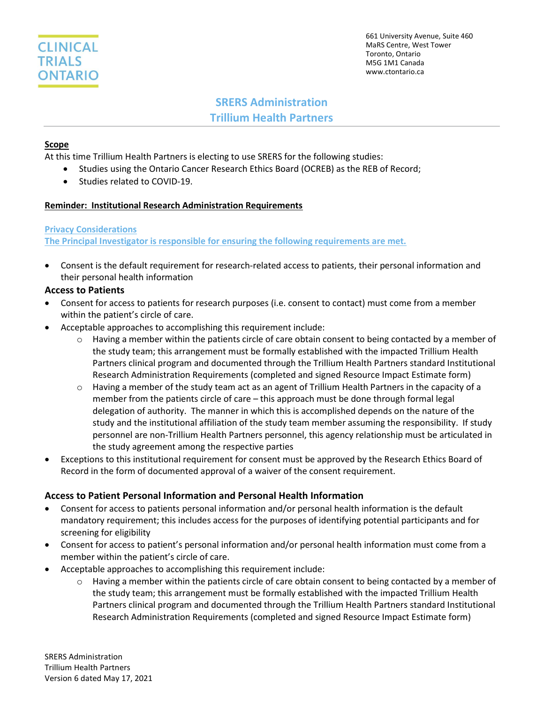

## SRERS Administration Trillium Health Partners

### Scope

At this time Trillium Health Partners is electing to use SRERS for the following studies:

- Studies using the Ontario Cancer Research Ethics Board (OCREB) as the REB of Record;
- Studies related to COVID-19.

#### Reminder: Institutional Research Administration Requirements

#### Privacy Considerations

The Principal Investigator is responsible for ensuring the following requirements are met.

 Consent is the default requirement for research-related access to patients, their personal information and their personal health information

#### Access to Patients

- Consent for access to patients for research purposes (i.e. consent to contact) must come from a member within the patient's circle of care.
- Acceptable approaches to accomplishing this requirement include:
	- $\circ$  Having a member within the patients circle of care obtain consent to being contacted by a member of the study team; this arrangement must be formally established with the impacted Trillium Health Partners clinical program and documented through the Trillium Health Partners standard Institutional Research Administration Requirements (completed and signed Resource Impact Estimate form)
	- $\circ$  Having a member of the study team act as an agent of Trillium Health Partners in the capacity of a member from the patients circle of care – this approach must be done through formal legal delegation of authority. The manner in which this is accomplished depends on the nature of the study and the institutional affiliation of the study team member assuming the responsibility. If study personnel are non-Trillium Health Partners personnel, this agency relationship must be articulated in the study agreement among the respective parties
- Exceptions to this institutional requirement for consent must be approved by the Research Ethics Board of Record in the form of documented approval of a waiver of the consent requirement.

#### Access to Patient Personal Information and Personal Health Information

- Consent for access to patients personal information and/or personal health information is the default mandatory requirement; this includes access for the purposes of identifying potential participants and for screening for eligibility
- Consent for access to patient's personal information and/or personal health information must come from a member within the patient's circle of care.
- Acceptable approaches to accomplishing this requirement include:
	- $\circ$  Having a member within the patients circle of care obtain consent to being contacted by a member of the study team; this arrangement must be formally established with the impacted Trillium Health Partners clinical program and documented through the Trillium Health Partners standard Institutional Research Administration Requirements (completed and signed Resource Impact Estimate form)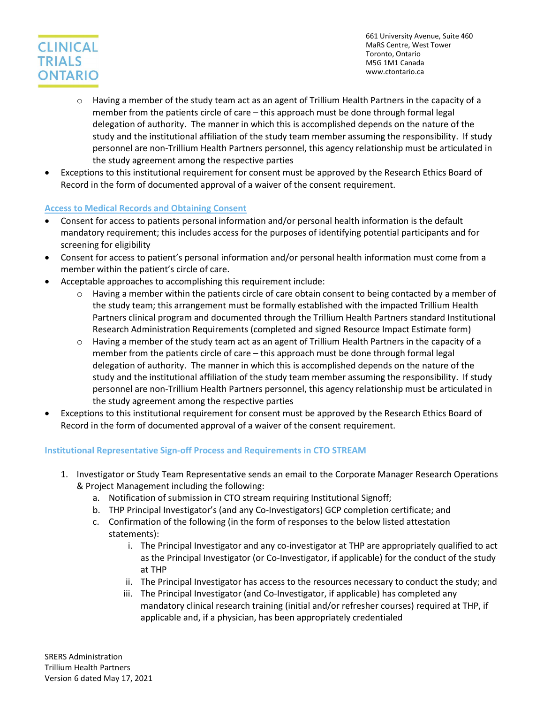# **CLINICAL TRIALS ONTARIO**

661 University Avenue, Suite 460 MaRS Centre, West Tower Toronto, Ontario M5G 1M1 Canada www.ctontario.ca

- $\circ$  Having a member of the study team act as an agent of Trillium Health Partners in the capacity of a member from the patients circle of care – this approach must be done through formal legal delegation of authority. The manner in which this is accomplished depends on the nature of the study and the institutional affiliation of the study team member assuming the responsibility. If study personnel are non-Trillium Health Partners personnel, this agency relationship must be articulated in the study agreement among the respective parties
- Exceptions to this institutional requirement for consent must be approved by the Research Ethics Board of Record in the form of documented approval of a waiver of the consent requirement.

## Access to Medical Records and Obtaining Consent

- Consent for access to patients personal information and/or personal health information is the default mandatory requirement; this includes access for the purposes of identifying potential participants and for screening for eligibility
- Consent for access to patient's personal information and/or personal health information must come from a member within the patient's circle of care.
- Acceptable approaches to accomplishing this requirement include:
	- $\circ$  Having a member within the patients circle of care obtain consent to being contacted by a member of the study team; this arrangement must be formally established with the impacted Trillium Health Partners clinical program and documented through the Trillium Health Partners standard Institutional Research Administration Requirements (completed and signed Resource Impact Estimate form)
	- $\circ$  Having a member of the study team act as an agent of Trillium Health Partners in the capacity of a member from the patients circle of care – this approach must be done through formal legal delegation of authority. The manner in which this is accomplished depends on the nature of the study and the institutional affiliation of the study team member assuming the responsibility. If study personnel are non-Trillium Health Partners personnel, this agency relationship must be articulated in the study agreement among the respective parties
- Exceptions to this institutional requirement for consent must be approved by the Research Ethics Board of Record in the form of documented approval of a waiver of the consent requirement.

## Institutional Representative Sign-off Process and Requirements in CTO STREAM

- 1. Investigator or Study Team Representative sends an email to the Corporate Manager Research Operations & Project Management including the following:
	- a. Notification of submission in CTO stream requiring Institutional Signoff;
	- b. THP Principal Investigator's (and any Co-Investigators) GCP completion certificate; and
	- c. Confirmation of the following (in the form of responses to the below listed attestation statements):
		- i. The Principal Investigator and any co-investigator at THP are appropriately qualified to act as the Principal Investigator (or Co-Investigator, if applicable) for the conduct of the study at THP
		- ii. The Principal Investigator has access to the resources necessary to conduct the study; and
		- iii. The Principal Investigator (and Co-Investigator, if applicable) has completed any mandatory clinical research training (initial and/or refresher courses) required at THP, if applicable and, if a physician, has been appropriately credentialed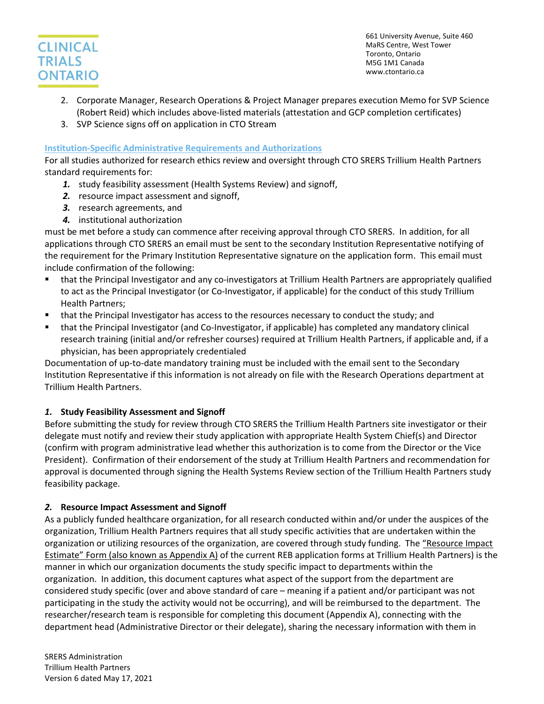

- 2. Corporate Manager, Research Operations & Project Manager prepares execution Memo for SVP Science (Robert Reid) which includes above-listed materials (attestation and GCP completion certificates)
- 3. SVP Science signs off on application in CTO Stream

#### Institution-Specific Administrative Requirements and Authorizations

For all studies authorized for research ethics review and oversight through CTO SRERS Trillium Health Partners standard requirements for:

- 1. study feasibility assessment (Health Systems Review) and signoff,
- 2. resource impact assessment and signoff,
- 3. research agreements, and
- 4. institutional authorization

must be met before a study can commence after receiving approval through CTO SRERS. In addition, for all applications through CTO SRERS an email must be sent to the secondary Institution Representative notifying of the requirement for the Primary Institution Representative signature on the application form. This email must include confirmation of the following:

- that the Principal Investigator and any co-investigators at Trillium Health Partners are appropriately qualified to act as the Principal Investigator (or Co-Investigator, if applicable) for the conduct of this study Trillium Health Partners;
- **that the Principal Investigator has access to the resources necessary to conduct the study; and**
- that the Principal Investigator (and Co-Investigator, if applicable) has completed any mandatory clinical research training (initial and/or refresher courses) required at Trillium Health Partners, if applicable and, if a physician, has been appropriately credentialed

Documentation of up-to-date mandatory training must be included with the email sent to the Secondary Institution Representative if this information is not already on file with the Research Operations department at Trillium Health Partners.

## 1. Study Feasibility Assessment and Signoff

Before submitting the study for review through CTO SRERS the Trillium Health Partners site investigator or their delegate must notify and review their study application with appropriate Health System Chief(s) and Director (confirm with program administrative lead whether this authorization is to come from the Director or the Vice President). Confirmation of their endorsement of the study at Trillium Health Partners and recommendation for approval is documented through signing the Health Systems Review section of the Trillium Health Partners study feasibility package.

## 2. Resource Impact Assessment and Signoff

As a publicly funded healthcare organization, for all research conducted within and/or under the auspices of the organization, Trillium Health Partners requires that all study specific activities that are undertaken within the organization or utilizing resources of the organization, are covered through study funding. The "Resource Impact Estimate" Form (also known as Appendix A) of the current REB application forms at Trillium Health Partners) is the manner in which our organization documents the study specific impact to departments within the organization. In addition, this document captures what aspect of the support from the department are considered study specific (over and above standard of care – meaning if a patient and/or participant was not participating in the study the activity would not be occurring), and will be reimbursed to the department. The researcher/research team is responsible for completing this document (Appendix A), connecting with the department head (Administrative Director or their delegate), sharing the necessary information with them in

SRERS Administration Trillium Health Partners Version 6 dated May 17, 2021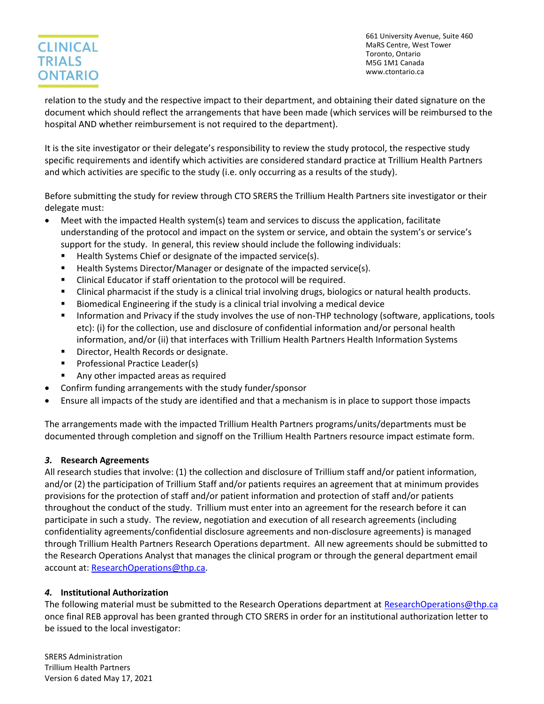## **CLINICAL TRIALS ONTARIO**

661 University Avenue, Suite 460 MaRS Centre, West Tower Toronto, Ontario M5G 1M1 Canada www.ctontario.ca

relation to the study and the respective impact to their department, and obtaining their dated signature on the document which should reflect the arrangements that have been made (which services will be reimbursed to the hospital AND whether reimbursement is not required to the department).

It is the site investigator or their delegate's responsibility to review the study protocol, the respective study specific requirements and identify which activities are considered standard practice at Trillium Health Partners and which activities are specific to the study (i.e. only occurring as a results of the study).

Before submitting the study for review through CTO SRERS the Trillium Health Partners site investigator or their delegate must:

- Meet with the impacted Health system(s) team and services to discuss the application, facilitate understanding of the protocol and impact on the system or service, and obtain the system's or service's support for the study. In general, this review should include the following individuals:
	- Health Systems Chief or designate of the impacted service(s).
	- Health Systems Director/Manager or designate of the impacted service(s).
	- Clinical Educator if staff orientation to the protocol will be required.
	- Clinical pharmacist if the study is a clinical trial involving drugs, biologics or natural health products.
	- Biomedical Engineering if the study is a clinical trial involving a medical device
	- **Information and Privacy if the study involves the use of non-THP technology (software, applications, tools** etc): (i) for the collection, use and disclosure of confidential information and/or personal health information, and/or (ii) that interfaces with Trillium Health Partners Health Information Systems
	- **Director, Health Records or designate.**
	- Professional Practice Leader(s)
	- Any other impacted areas as required
- Confirm funding arrangements with the study funder/sponsor
- Ensure all impacts of the study are identified and that a mechanism is in place to support those impacts

The arrangements made with the impacted Trillium Health Partners programs/units/departments must be documented through completion and signoff on the Trillium Health Partners resource impact estimate form.

## 3. Research Agreements

All research studies that involve: (1) the collection and disclosure of Trillium staff and/or patient information, and/or (2) the participation of Trillium Staff and/or patients requires an agreement that at minimum provides provisions for the protection of staff and/or patient information and protection of staff and/or patients throughout the conduct of the study. Trillium must enter into an agreement for the research before it can participate in such a study. The review, negotiation and execution of all research agreements (including confidentiality agreements/confidential disclosure agreements and non-disclosure agreements) is managed through Trillium Health Partners Research Operations department. All new agreements should be submitted to the Research Operations Analyst that manages the clinical program or through the general department email account at: ResearchOperations@thp.ca.

## 4. Institutional Authorization

The following material must be submitted to the Research Operations department at ResearchOperations@thp.ca once final REB approval has been granted through CTO SRERS in order for an institutional authorization letter to be issued to the local investigator:

SRERS Administration Trillium Health Partners Version 6 dated May 17, 2021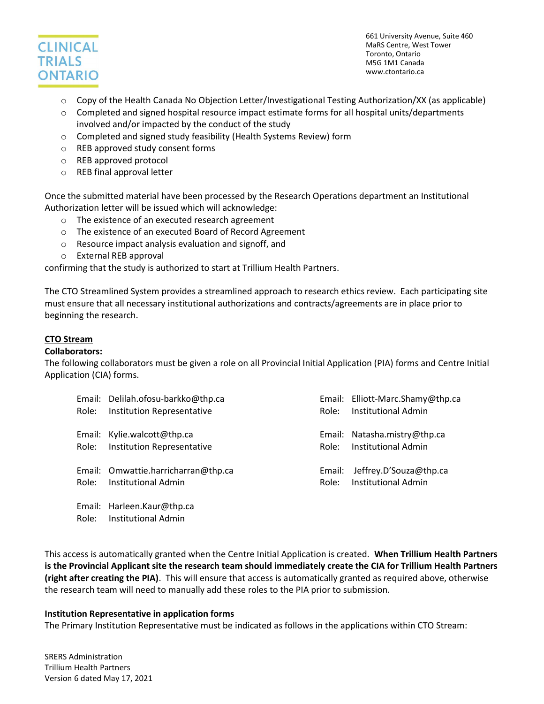

- o Copy of the Health Canada No Objection Letter/Investigational Testing Authorization/XX (as applicable)
- $\circ$  Completed and signed hospital resource impact estimate forms for all hospital units/departments involved and/or impacted by the conduct of the study
- o Completed and signed study feasibility (Health Systems Review) form
- o REB approved study consent forms
- o REB approved protocol
- o REB final approval letter

Once the submitted material have been processed by the Research Operations department an Institutional Authorization letter will be issued which will acknowledge:

- o The existence of an executed research agreement
- o The existence of an executed Board of Record Agreement
- o Resource impact analysis evaluation and signoff, and
- o External REB approval

confirming that the study is authorized to start at Trillium Health Partners.

The CTO Streamlined System provides a streamlined approach to research ethics review. Each participating site must ensure that all necessary institutional authorizations and contracts/agreements are in place prior to beginning the research.

#### CTO Stream

#### Collaborators:

The following collaborators must be given a role on all Provincial Initial Application (PIA) forms and Centre Initial Application (CIA) forms.

| Role: | Email: Delilah.ofosu-barkko@thp.ca<br><b>Institution Representative</b> | Role:           | Email: Elliott-Marc.Shamy@thp.ca<br><b>Institutional Admin</b> |
|-------|-------------------------------------------------------------------------|-----------------|----------------------------------------------------------------|
|       | Email: Kylie.walcott@thp.ca<br>Role: Institution Representative         |                 | Email: Natasha.mistry@thp.ca<br>Role: Institutional Admin      |
|       | Email: Omwattie.harricharran@thp.ca<br>Role: Institutional Admin        | Email:<br>Role: | Jeffrey.D'Souza@thp.ca<br>Institutional Admin                  |
|       | Email: Harleen.Kaur@thp.ca<br>Role: Institutional Admin                 |                 |                                                                |

This access is automatically granted when the Centre Initial Application is created. When Trillium Health Partners is the Provincial Applicant site the research team should immediately create the CIA for Trillium Health Partners (right after creating the PIA). This will ensure that access is automatically granted as required above, otherwise the research team will need to manually add these roles to the PIA prior to submission.

#### Institution Representative in application forms

The Primary Institution Representative must be indicated as follows in the applications within CTO Stream:

SRERS Administration Trillium Health Partners Version 6 dated May 17, 2021